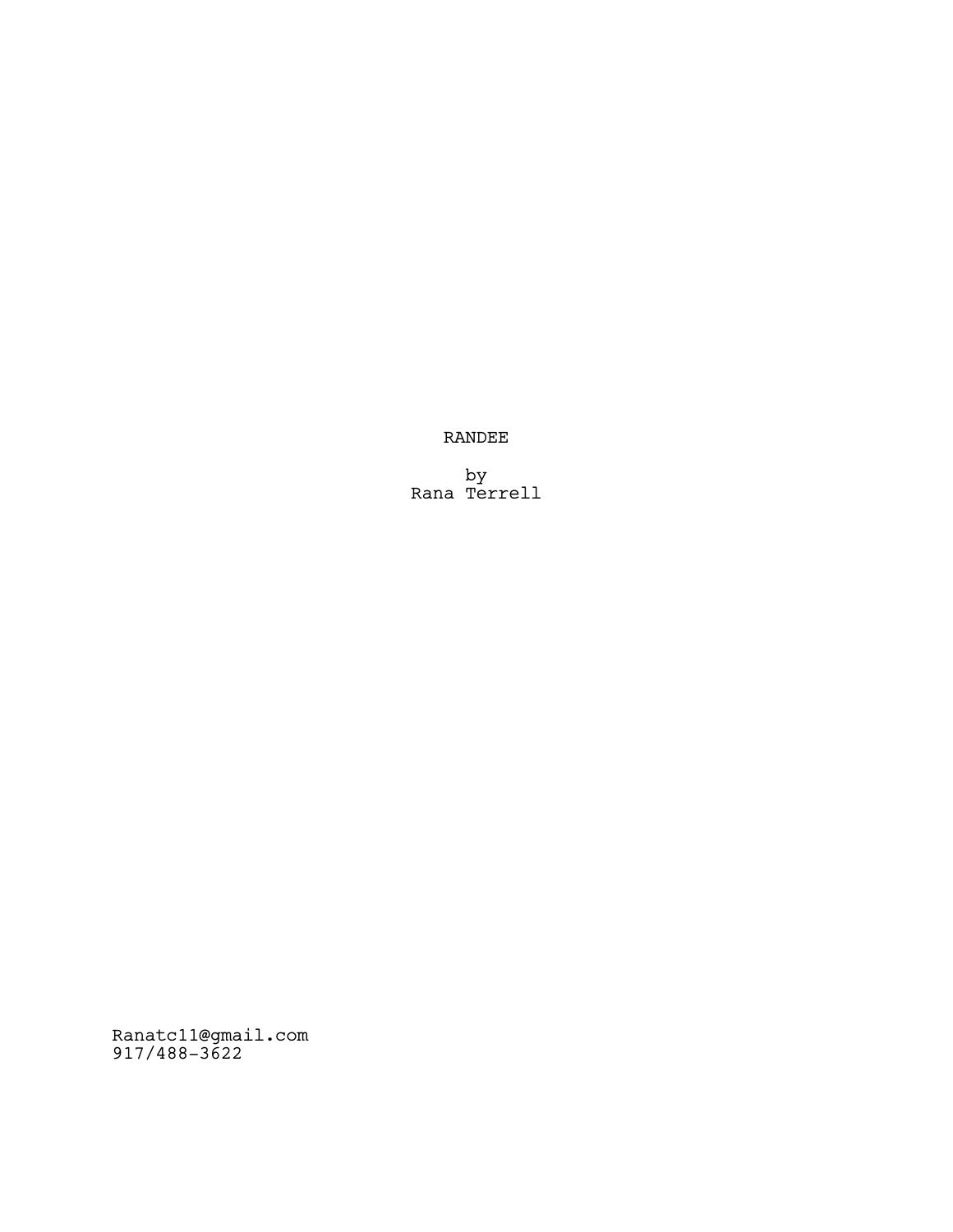RANDEE

by Rana Terrell

Ranatc11@gmail.com 917/488-3622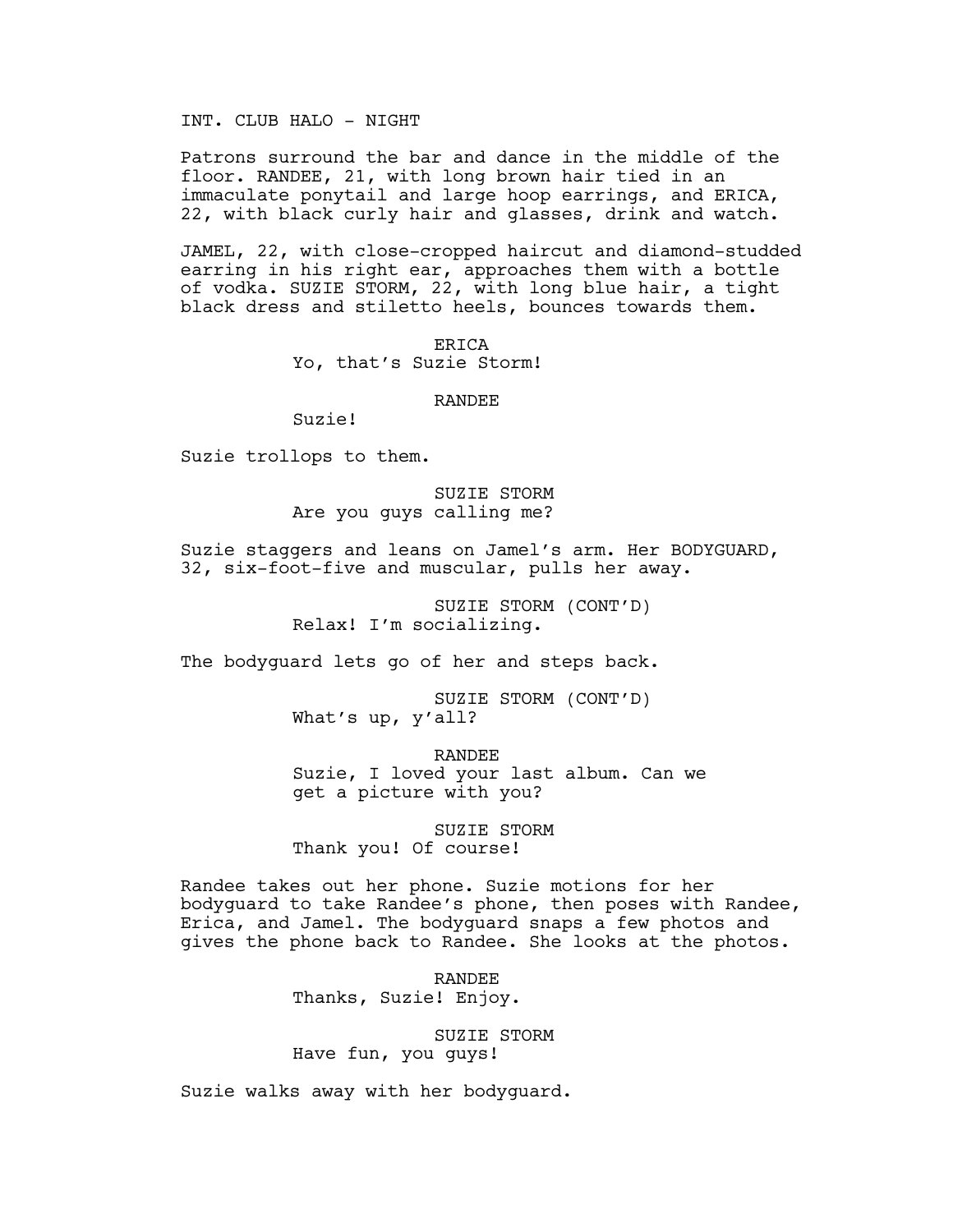INT. CLUB HALO - NIGHT

Patrons surround the bar and dance in the middle of the floor. RANDEE, 21, with long brown hair tied in an immaculate ponytail and large hoop earrings, and ERICA, 22, with black curly hair and glasses, drink and watch.

JAMEL, 22, with close-cropped haircut and diamond-studded earring in his right ear, approaches them with a bottle of vodka. SUZIE STORM, 22, with long blue hair, a tight black dress and stiletto heels, bounces towards them.

> ERICA Yo, that's Suzie Storm!

### RANDEE

Suzie!

Suzie trollops to them.

SUZIE STORM Are you guys calling me?

Suzie staggers and leans on Jamel's arm. Her BODYGUARD, 32, six-foot-five and muscular, pulls her away.

> SUZIE STORM (CONT'D) Relax! I'm socializing.

The bodyguard lets go of her and steps back.

SUZIE STORM (CONT'D) What's up, y'all?

RANDEE Suzie, I loved your last album. Can we get a picture with you?

SUZIE STORM Thank you! Of course!

Randee takes out her phone. Suzie motions for her bodyguard to take Randee's phone, then poses with Randee, Erica, and Jamel. The bodyguard snaps a few photos and gives the phone back to Randee. She looks at the photos.

> RANDEE Thanks, Suzie! Enjoy.

SUZIE STORM Have fun, you guys!

Suzie walks away with her bodyguard.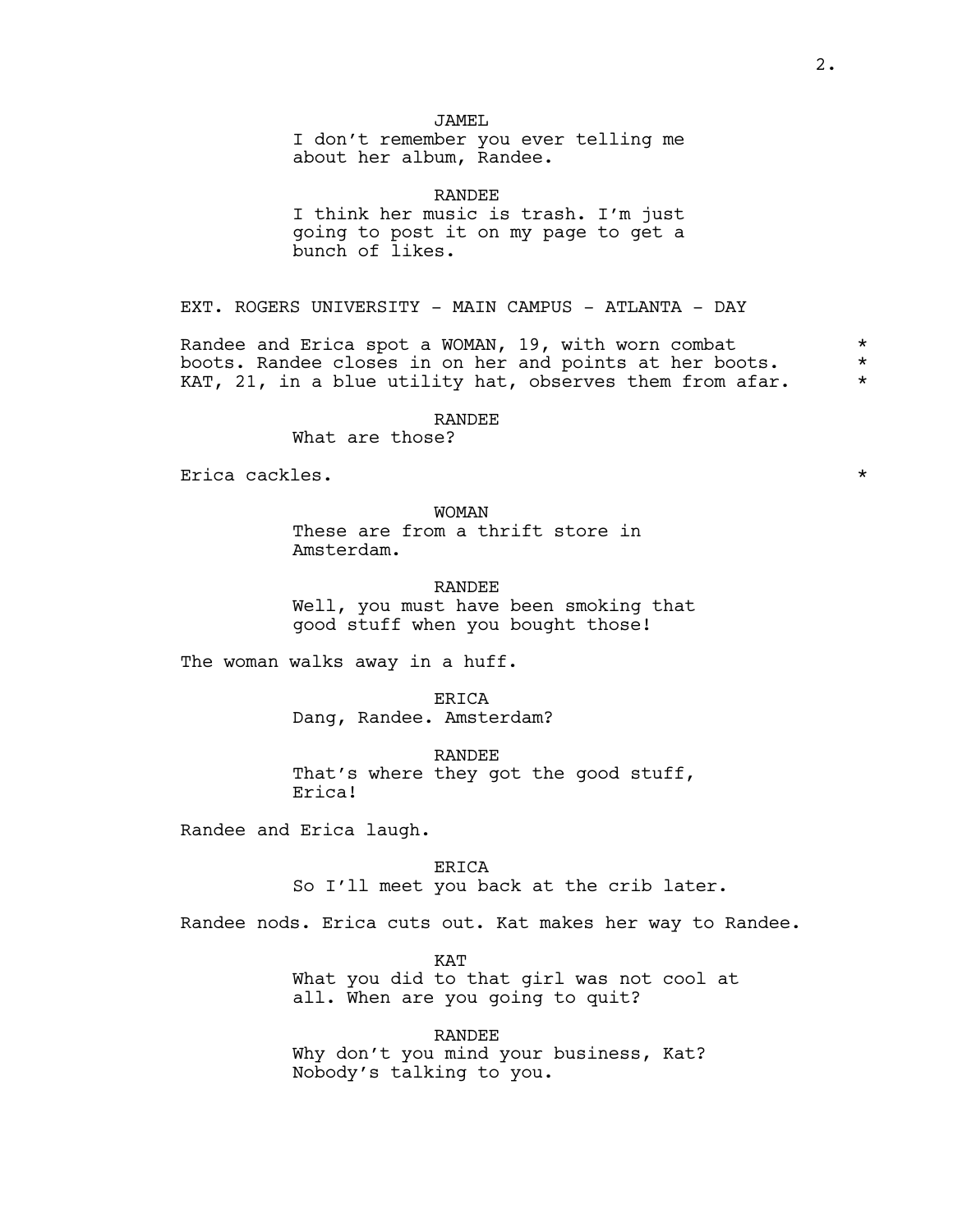# JAMEL

I don't remember you ever telling me about her album, Randee.

RANDEE I think her music is trash. I'm just going to post it on my page to get a bunch of likes.

EXT. ROGERS UNIVERSITY - MAIN CAMPUS - ATLANTA - DAY

Randee and Erica spot a WOMAN, 19, with worn combat  $*$ boots. Randee closes in on her and points at her boots. \* KAT, 21, in a blue utility hat, observes them from afar.  $*$ 

# RANDEE

What are those?

Erica cackles. \*

# WOMAN

These are from a thrift store in Amsterdam.

#### RANDEE

Well, you must have been smoking that good stuff when you bought those!

The woman walks away in a huff.

**ERICA** 

Dang, Randee. Amsterdam?

RANDEE That's where they got the good stuff, Erica!

Randee and Erica laugh.

ERICA So I'll meet you back at the crib later.

Randee nods. Erica cuts out. Kat makes her way to Randee.

KAT What you did to that girl was not cool at all. When are you going to quit?

RANDEE Why don't you mind your business, Kat? Nobody's talking to you.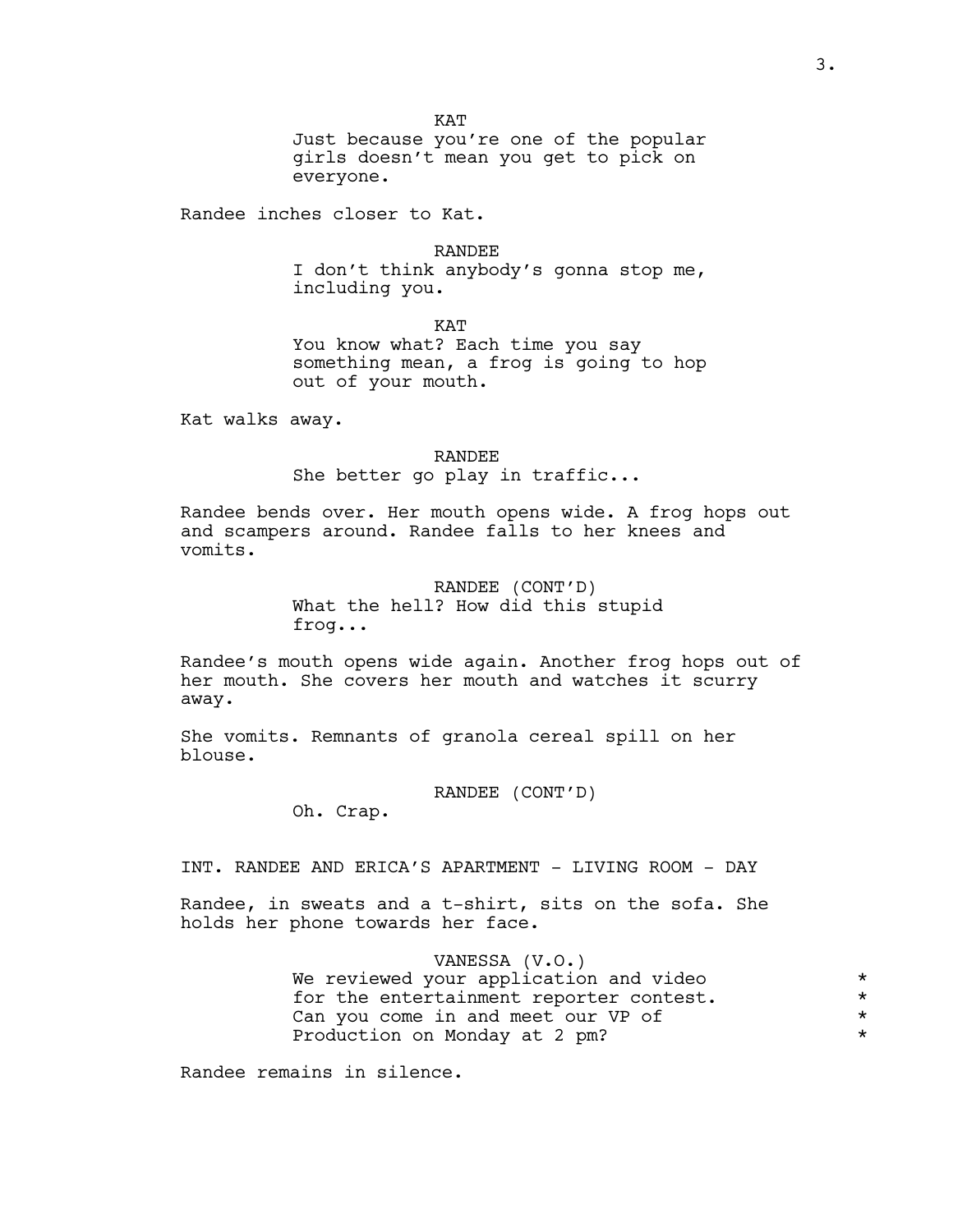**KAT** 

Just because you're one of the popular girls doesn't mean you get to pick on everyone.

Randee inches closer to Kat.

RANDEE

I don't think anybody's gonna stop me, including you.

KAT

You know what? Each time you say something mean, a frog is going to hop out of your mouth.

Kat walks away.

RANDEE

She better go play in traffic...

Randee bends over. Her mouth opens wide. A frog hops out and scampers around. Randee falls to her knees and vomits.

> RANDEE (CONT'D) What the hell? How did this stupid frog...

Randee's mouth opens wide again. Another frog hops out of her mouth. She covers her mouth and watches it scurry away.

She vomits. Remnants of granola cereal spill on her blouse.

RANDEE (CONT'D)

Oh. Crap.

INT. RANDEE AND ERICA'S APARTMENT - LIVING ROOM - DAY

Randee, in sweats and a t-shirt, sits on the sofa. She holds her phone towards her face.

> VANESSA (V.O.) We reviewed your application and video \* for the entertainment reporter contest.  $*$ Can you come in and meet our VP of  $*$ <br>Production on Monday at 2 pm? Production on Monday at 2 pm? \*

Randee remains in silence.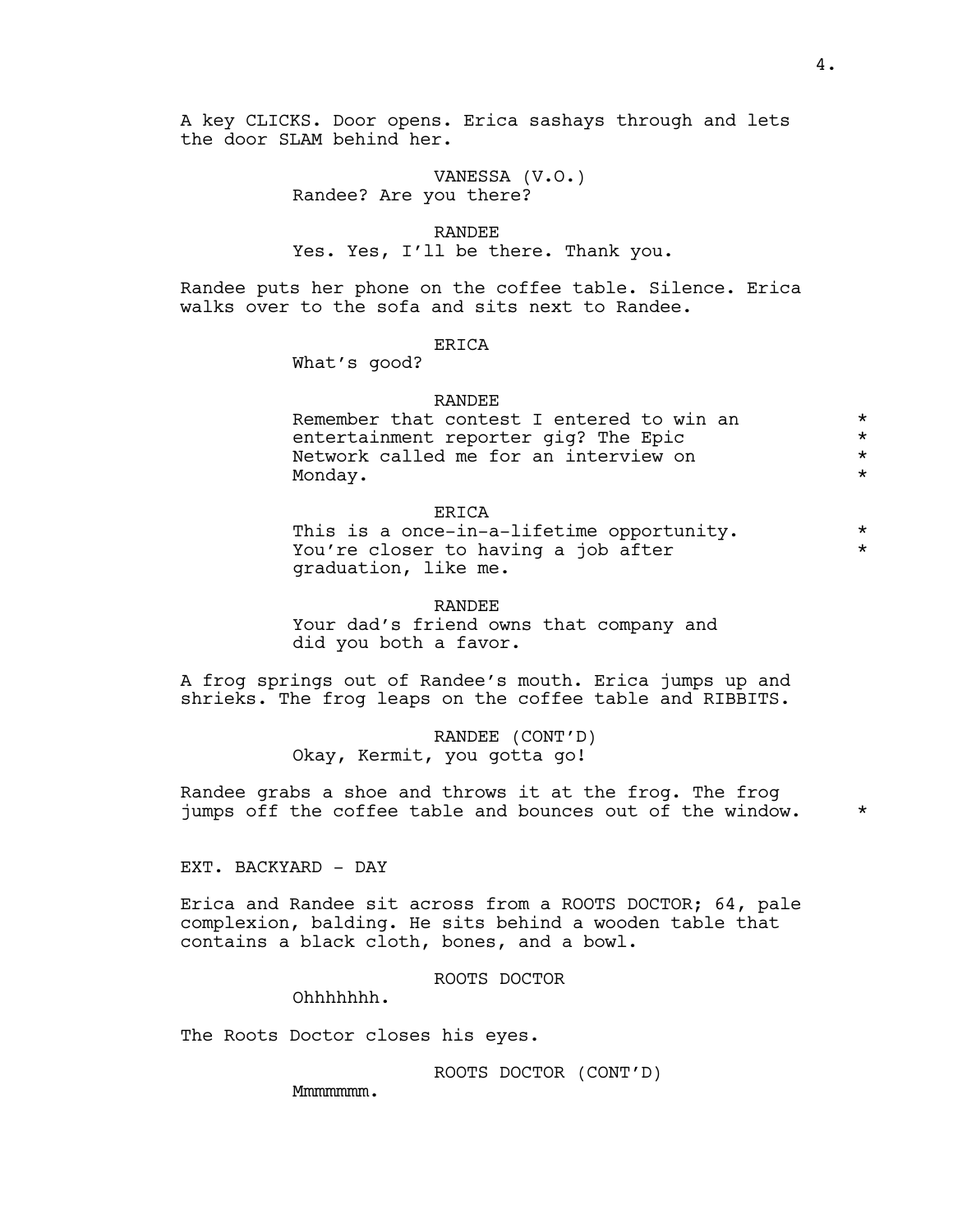A key CLICKS. Door opens. Erica sashays through and lets the door SLAM behind her.

> VANESSA (V.O.) Randee? Are you there?

RANDEE Yes. Yes, I'll be there. Thank you.

Randee puts her phone on the coffee table. Silence. Erica walks over to the sofa and sits next to Randee.

# ERICA

What's good?

### RANDEE

| Remember that contest I entered to win an | $\star$ |
|-------------------------------------------|---------|
| entertainment reporter gig? The Epic      | $\star$ |
| Network called me for an interview on     | $\star$ |
| Mondav.                                   | $\star$ |
|                                           |         |

# ERICA

| This is a once-in-a-lifetime opportunity. |  |
|-------------------------------------------|--|
| You're closer to having a job after       |  |
| graduation, like me.                      |  |

#### RANDEE

Your dad's friend owns that company and did you both a favor.

A frog springs out of Randee's mouth. Erica jumps up and shrieks. The frog leaps on the coffee table and RIBBITS.

> RANDEE (CONT'D) Okay, Kermit, you gotta go!

Randee grabs a shoe and throws it at the frog. The frog jumps off the coffee table and bounces out of the window.  $*$ 

EXT. BACKYARD - DAY

Erica and Randee sit across from a ROOTS DOCTOR; 64, pale complexion, balding. He sits behind a wooden table that contains a black cloth, bones, and a bowl.

ROOTS DOCTOR

Ohhhhhhh.

The Roots Doctor closes his eyes.

ROOTS DOCTOR (CONT'D)

Mmmmmmmm.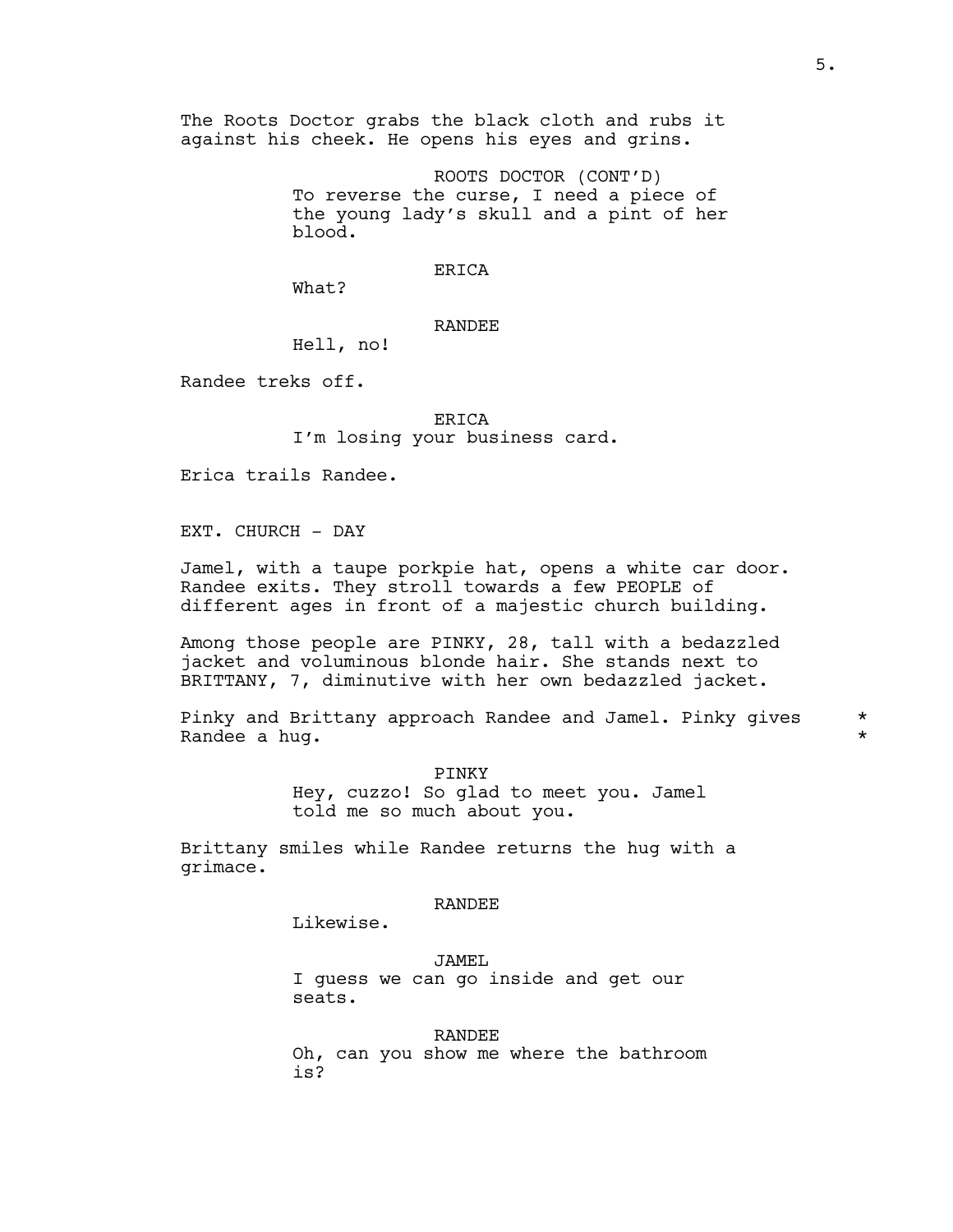The Roots Doctor grabs the black cloth and rubs it against his cheek. He opens his eyes and grins.

> ROOTS DOCTOR (CONT'D) To reverse the curse, I need a piece of the young lady's skull and a pint of her blood.

### ERICA

What?

# RANDEE

Hell, no!

Randee treks off.

ERICA I'm losing your business card.

Erica trails Randee.

EXT. CHURCH - DAY

Jamel, with a taupe porkpie hat, opens a white car door. Randee exits. They stroll towards a few PEOPLE of different ages in front of a majestic church building.

Among those people are PINKY, 28, tall with a bedazzled jacket and voluminous blonde hair. She stands next to BRITTANY, 7, diminutive with her own bedazzled jacket.

Pinky and Brittany approach Randee and Jamel. Pinky gives \* Randee a hug. \*

PINKY Hey, cuzzo! So glad to meet you. Jamel told me so much about you.

Brittany smiles while Randee returns the hug with a grimace.

#### RANDEE

Likewise.

JAMEL I guess we can go inside and get our seats.

# RANDEE

Oh, can you show me where the bathroom is?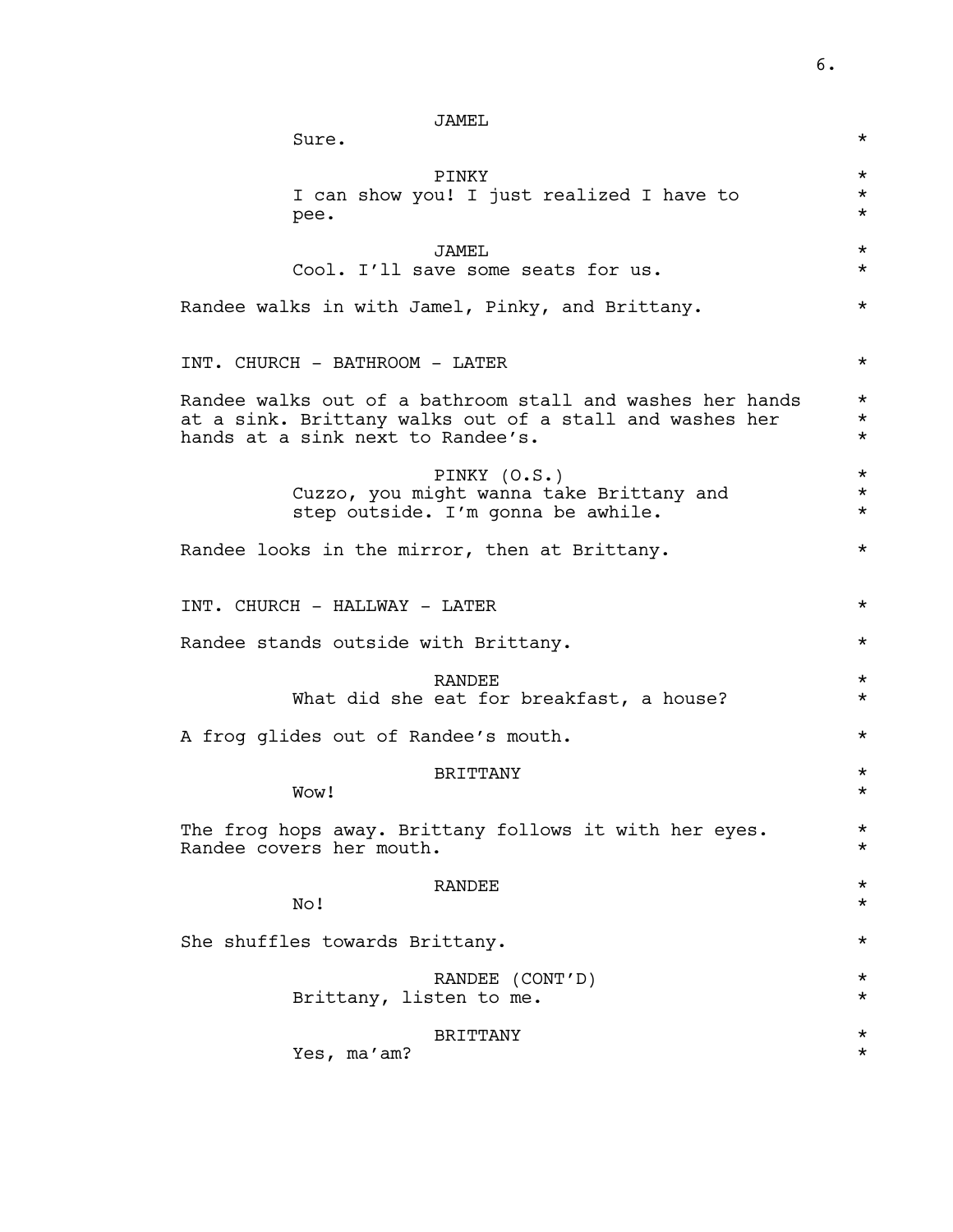| JAMEL                                                     |          |
|-----------------------------------------------------------|----------|
| Sure.                                                     | $\star$  |
| PINKY                                                     | $\star$  |
| I can show you! I just realized I have to                 | $\star$  |
| pee.                                                      | $\star$  |
| JAMEL                                                     | $^\star$ |
| Cool. I'll save some seats for us.                        | $\star$  |
| Randee walks in with Jamel, Pinky, and Brittany.          | $^\star$ |
| INT. CHURCH - BATHROOM - LATER                            | $^\star$ |
| Randee walks out of a bathroom stall and washes her hands | $\star$  |
| at a sink. Brittany walks out of a stall and washes her   | $\star$  |
| hands at a sink next to Randee's.                         | $\star$  |
| PINKY (O.S.)                                              | $\star$  |
| Cuzzo, you might wanna take Brittany and                  | $\star$  |
| step outside. I'm gonna be awhile.                        | $\star$  |
| Randee looks in the mirror, then at Brittany.             | $^\star$ |
| INT. CHURCH - HALLWAY - LATER                             | $^\star$ |
| Randee stands outside with Brittany.                      | $\star$  |
| <b>RANDEE</b>                                             | $\star$  |
| What did she eat for breakfast, a house?                  | $\star$  |
| A frog glides out of Randee's mouth.                      | $^\star$ |
| <b>BRITTANY</b>                                           | $\star$  |
| Wow!                                                      | $^\star$ |
| The frog hops away. Brittany follows it with her eyes.    | $\star$  |
| Randee covers her mouth.                                  | $^\star$ |
| RANDEE                                                    | $\star$  |
| No!                                                       | $^\star$ |
| She shuffles towards Brittany.                            | $\star$  |
| RANDEE (CONT'D)                                           | $\star$  |
| Brittany, listen to me.                                   | $^\star$ |
| <b>BRITTANY</b>                                           | $^\star$ |
| Yes, ma'am?                                               | $^\star$ |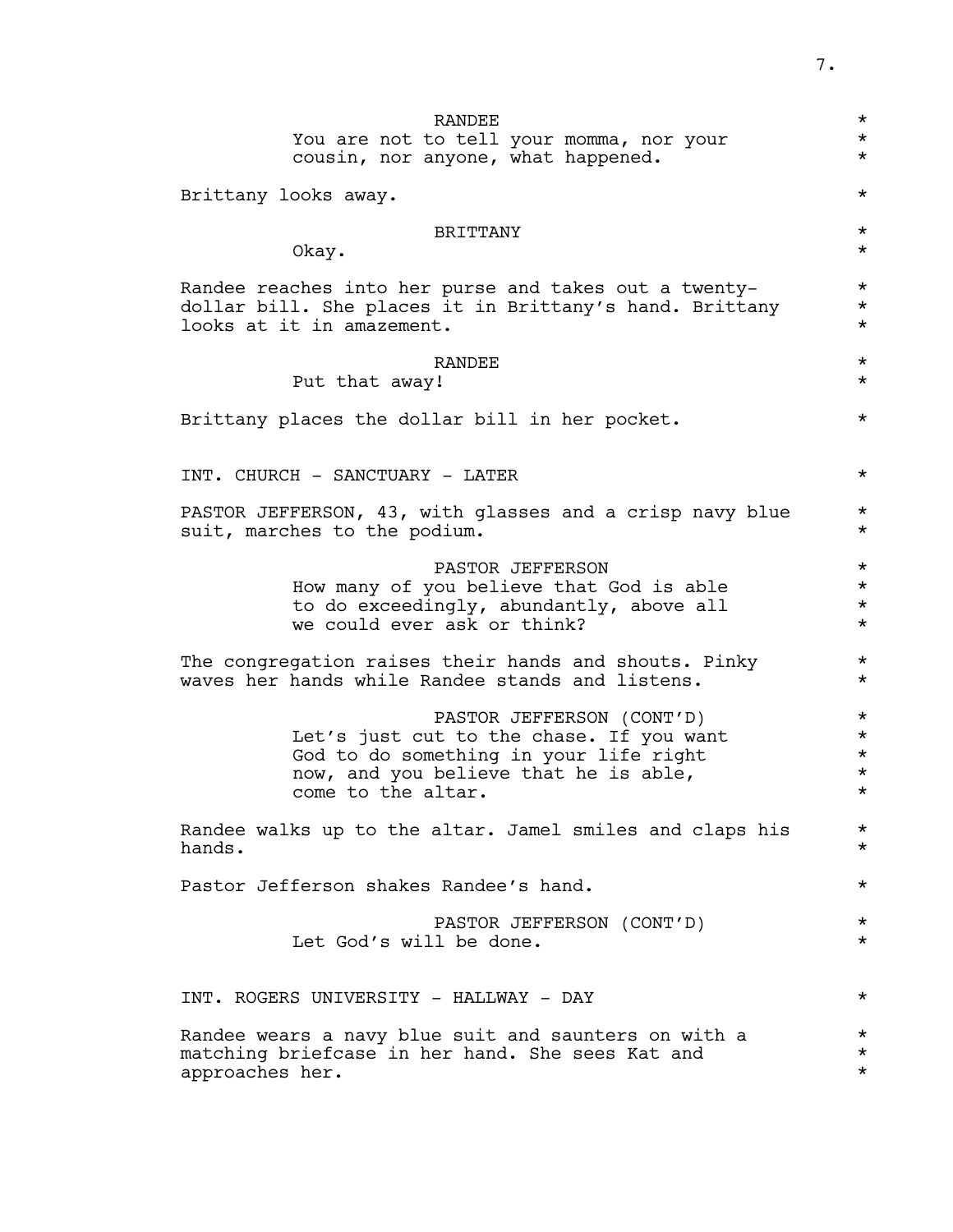RANDEE  $\star$ You are not to tell your momma, nor your \*\* cousin, nor anyone, what happened.  $*$ Brittany looks away.  $\star$ BRITTANY \* Okay.  $\star$ Randee reaches into her purse and takes out a twenty-<br>dollar bill she places it in Brittany's hand Brittany \* dollar bill. She places it in Brittany's hand. Brittany looks at it in amazement. RANDEE  $\star$ Put that away! Brittany places the dollar bill in her pocket.  $*$ INT. CHURCH - SANCTUARY - LATER \* PASTOR JEFFERSON, 43, with glasses and a crisp navy blue \* suit, marches to the podium.  $*$ PASTOR JEFFERSON \* How many of you believe that God is able \* to do exceedingly, abundantly, above all  $*$ we could ever ask or think?  $\star$ The congregation raises their hands and shouts. Pinky  $*$ waves her hands while Randee stands and listens. PASTOR JEFFERSON (CONT'D) \* Let's just cut to the chase. If you want<br>God to do something in your life right \* God to do something in your life right now, and you believe that he is able,  $*$ come to the altar. Randee walks up to the altar. Jamel smiles and claps his  $*$ <br>hands. hands. \* Pastor Jefferson shakes Randee's hand.  $*$ PASTOR JEFFERSON (CONT'D) \* Let God's will be done.  $\star$ INT. ROGERS UNIVERSITY - HALLWAY - DAY \* Randee wears a navy blue suit and saunters on with a  $*$ <br>matching briefcase in her hand. She sees Kat and  $*$ matching briefcase in her hand. She sees Kat and \* approaches her.  $\star$ 

7.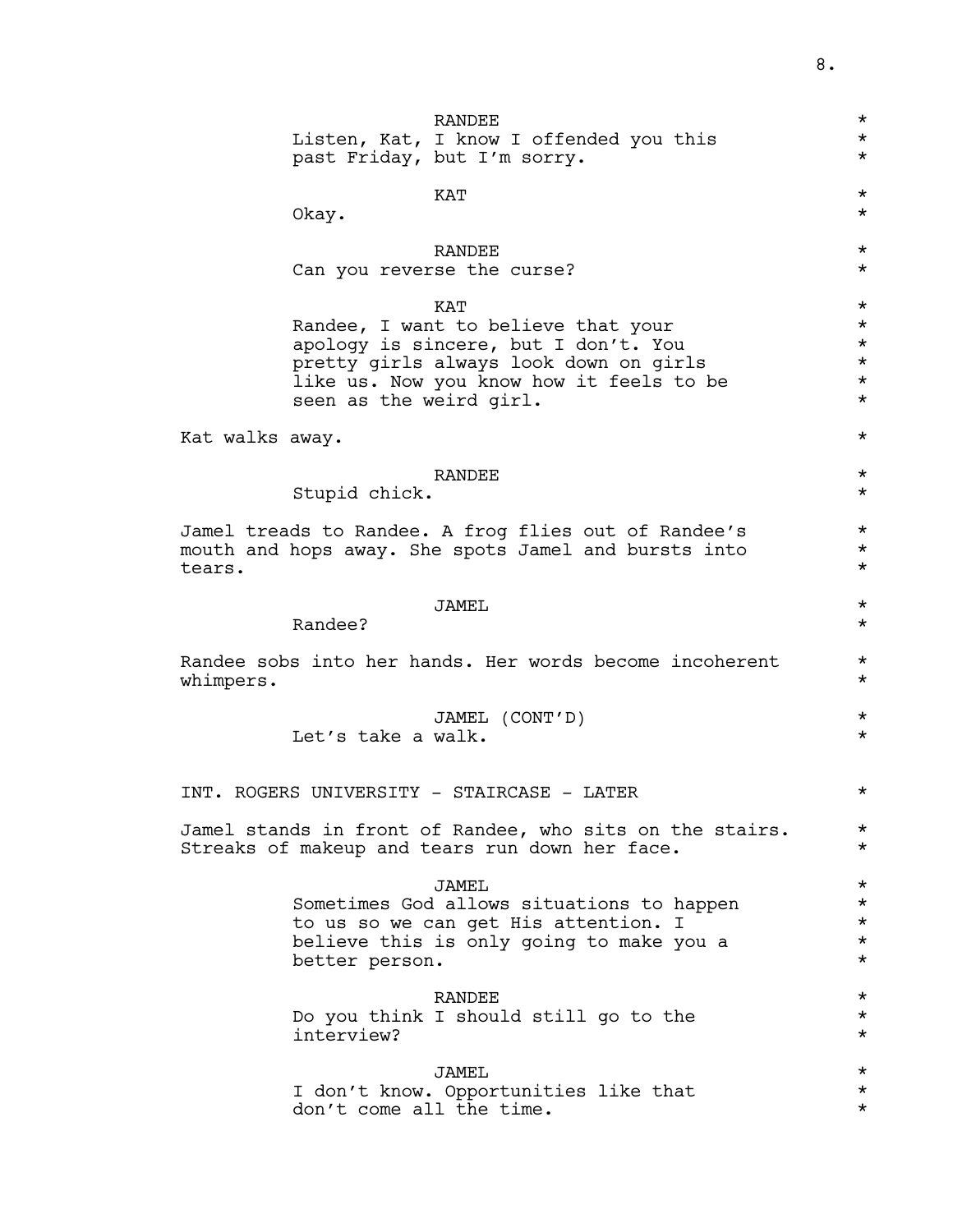|                 |                          | RANDEE<br>Listen, Kat, I know I offended you this<br>past Friday, but I'm sorry.                                                                                         | $^\star$<br>$^\star$<br>$^\star$                                   |
|-----------------|--------------------------|--------------------------------------------------------------------------------------------------------------------------------------------------------------------------|--------------------------------------------------------------------|
|                 | Okay.                    | KAT                                                                                                                                                                      | $^\star$<br>$^\star$                                               |
|                 |                          | RANDEE<br>Can you reverse the curse?                                                                                                                                     | $^\star$<br>$^\star$                                               |
|                 | seen as the weird girl.  | KAT<br>Randee, I want to believe that your<br>apology is sincere, but I don't. You<br>pretty girls always look down on girls<br>like us. Now you know how it feels to be | $^\star$<br>$^\star$<br>$^\star$<br>$^\star$<br>$\star$<br>$\star$ |
| Kat walks away. |                          |                                                                                                                                                                          | $^\star$                                                           |
|                 | Stupid chick.            | RANDEE                                                                                                                                                                   | $^\star$<br>$^\star$                                               |
| tears.          |                          | Jamel treads to Randee. A frog flies out of Randee's<br>mouth and hops away. She spots Jamel and bursts into                                                             | $^\star$<br>$^\star$<br>$^\star$                                   |
|                 | Randee?                  | JAMEL                                                                                                                                                                    | $^\star$<br>$^\star$                                               |
| whimpers.       |                          | Randee sobs into her hands. Her words become incoherent                                                                                                                  | $^\star$<br>$^\star$                                               |
|                 | Let's take a walk.       | JAMEL (CONT'D)                                                                                                                                                           | $^\star$<br>$^\star$                                               |
|                 |                          | INT. ROGERS UNIVERSITY - STAIRCASE - LATER                                                                                                                               | $^\star$                                                           |
|                 |                          | Jamel stands in front of Randee, who sits on the stairs.<br>Streaks of makeup and tears run down her face.                                                               | $^\star$<br>$^\star$                                               |
|                 | better person.           | <b>JAMEL</b><br>Sometimes God allows situations to happen<br>to us so we can get His attention. I<br>believe this is only going to make you a                            | $^\star$<br>$\star$<br>$\star$<br>$\star$<br>$^\star$              |
|                 | interview?               | <b>RANDEE</b><br>Do you think I should still go to the                                                                                                                   | $^\star$<br>$^\star$<br>$^\star$                                   |
|                 | don't come all the time. | JAMEL<br>I don't know. Opportunities like that                                                                                                                           | $^\star$<br>$\star$<br>$^\star$                                    |
|                 |                          |                                                                                                                                                                          |                                                                    |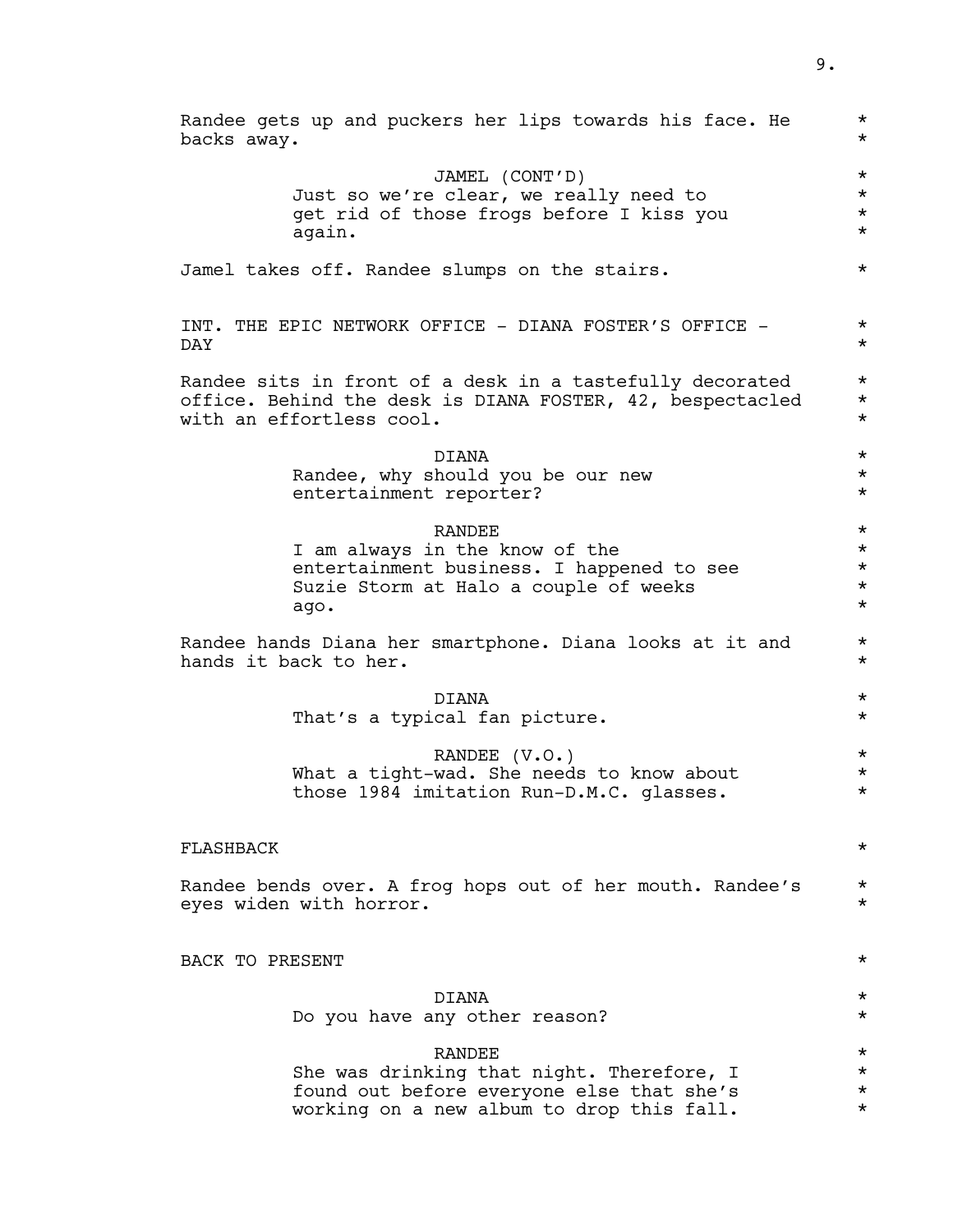| Randee gets up and puckers her lips towards his face. He<br>backs away.               | $^\star$<br>$^\star$ |
|---------------------------------------------------------------------------------------|----------------------|
| JAMEL (CONT'D)                                                                        | $\star$              |
| Just so we're clear, we really need to                                                | $\star$              |
| get rid of those frogs before I kiss you                                              | $\star$              |
| again.                                                                                | $^\star$             |
| Jamel takes off. Randee slumps on the stairs.                                         | $^\star$             |
| INT. THE EPIC NETWORK OFFICE - DIANA FOSTER'S OFFICE -<br>DAY                         | $\star$<br>$\star$   |
|                                                                                       |                      |
| Randee sits in front of a desk in a tastefully decorated                              | $\star$<br>$\star$   |
| office. Behind the desk is DIANA FOSTER, 42, bespectacled<br>with an effortless cool. | $^\star$             |
| DIANA                                                                                 | $\star$              |
| Randee, why should you be our new                                                     | $\star$              |
| entertainment reporter?                                                               | $^\star$             |
| <b>RANDEE</b>                                                                         | $\star$              |
| I am always in the know of the                                                        | $\star$              |
| entertainment business. I happened to see                                             | $\star$              |
| Suzie Storm at Halo a couple of weeks                                                 | $\star$              |
| ago.                                                                                  | $^\star$             |
| Randee hands Diana her smartphone. Diana looks at it and<br>hands it back to her.     | $\star$<br>$^\star$  |
| DIANA                                                                                 | $\star$              |
| That's a typical fan picture.                                                         | $\star$              |
| RANDEE (V.O.)                                                                         | $\star$              |
| What a tight-wad. She needs to know about                                             | $\star$              |
| those 1984 imitation Run-D.M.C. glasses.                                              | $^\star$             |
|                                                                                       |                      |
| <b>FLASHBACK</b>                                                                      | $^\star$             |
| Randee bends over. A frog hops out of her mouth. Randee's<br>eyes widen with horror.  | $\star$<br>$^\star$  |
| BACK TO PRESENT                                                                       | $\star$              |
| <b>DTANA</b>                                                                          | $^\star$             |
| Do you have any other reason?                                                         | $\star$              |
| <b>RANDEE</b>                                                                         | $^\star$             |
| She was drinking that night. Therefore, I                                             | $\star$              |
| found out before everyone else that she's                                             | $^\star$             |
| working on a new album to drop this fall.                                             | $^\star$             |